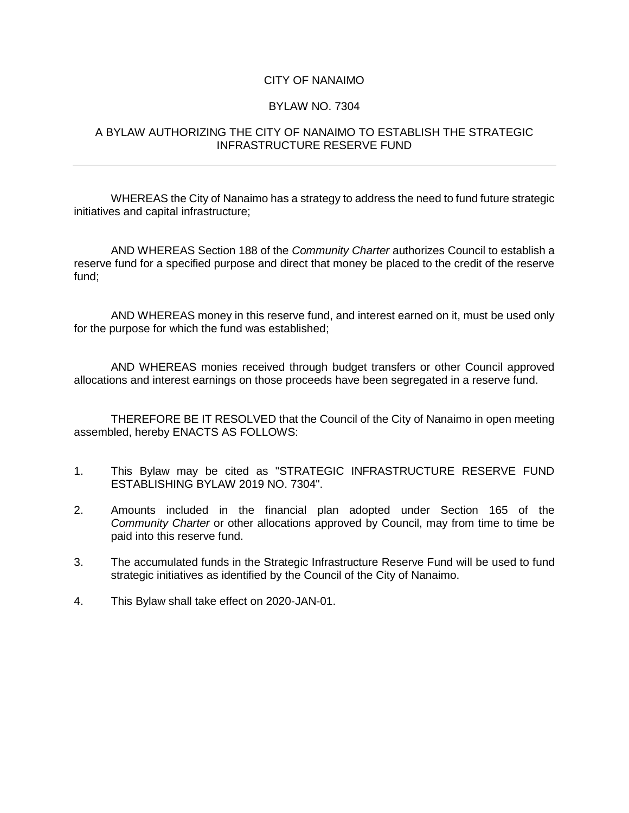## CITY OF NANAIMO

## BYLAW NO. 7304

## A BYLAW AUTHORIZING THE CITY OF NANAIMO TO ESTABLISH THE STRATEGIC INFRASTRUCTURE RESERVE FUND

WHEREAS the City of Nanaimo has a strategy to address the need to fund future strategic initiatives and capital infrastructure;

AND WHEREAS Section 188 of the *Community Charter* authorizes Council to establish a reserve fund for a specified purpose and direct that money be placed to the credit of the reserve fund;

AND WHEREAS money in this reserve fund, and interest earned on it, must be used only for the purpose for which the fund was established;

AND WHEREAS monies received through budget transfers or other Council approved allocations and interest earnings on those proceeds have been segregated in a reserve fund.

THEREFORE BE IT RESOLVED that the Council of the City of Nanaimo in open meeting assembled, hereby ENACTS AS FOLLOWS:

- 1. This Bylaw may be cited as "STRATEGIC INFRASTRUCTURE RESERVE FUND ESTABLISHING BYLAW 2019 NO. 7304".
- 2. Amounts included in the financial plan adopted under Section 165 of the *Community Charter* or other allocations approved by Council, may from time to time be paid into this reserve fund.
- 3. The accumulated funds in the Strategic Infrastructure Reserve Fund will be used to fund strategic initiatives as identified by the Council of the City of Nanaimo.
- 4. This Bylaw shall take effect on 2020-JAN-01.